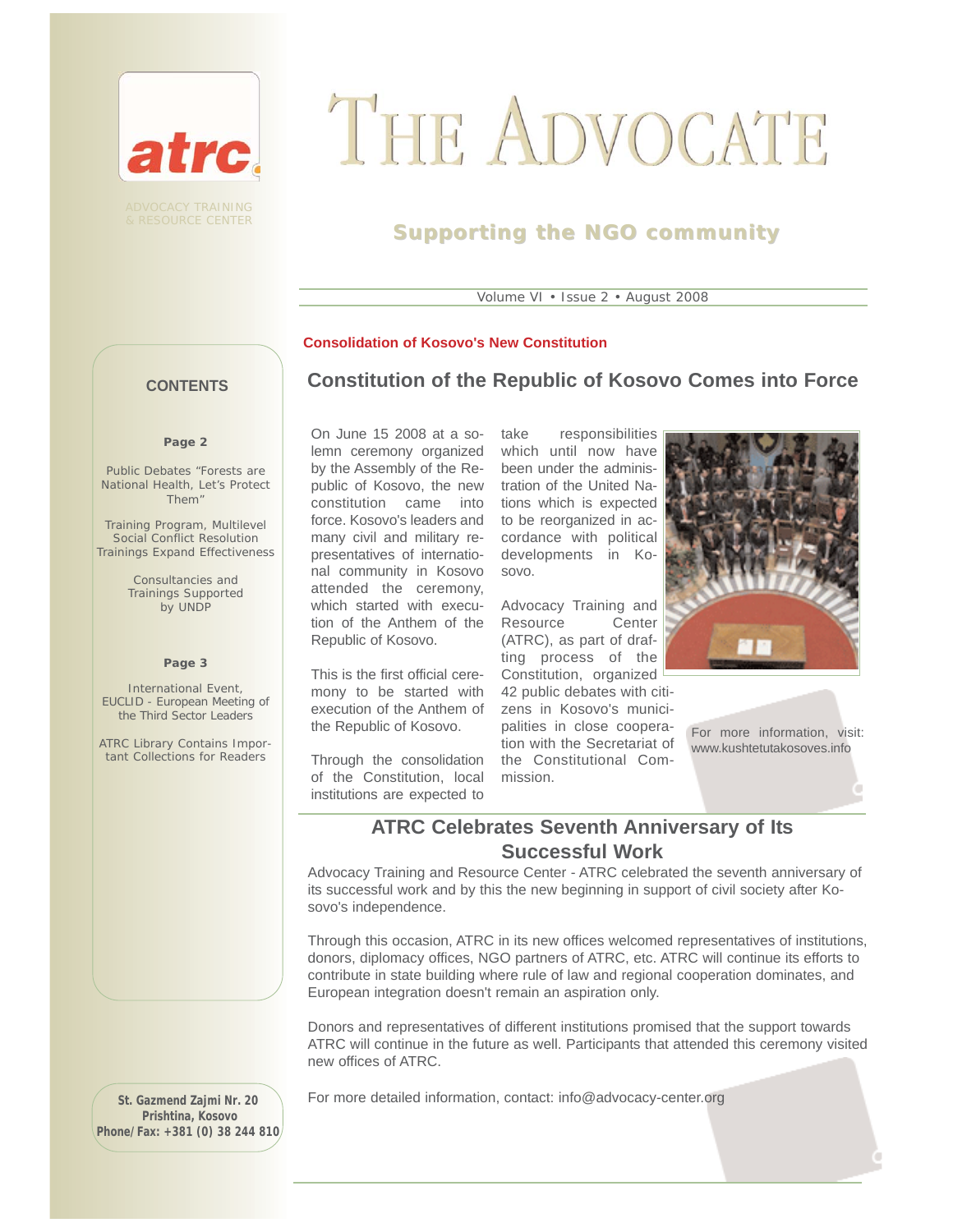

ADVOCACY TRAINING & RESOURCE CENTER

# THE ADVOCATE

## **Supporting the NGO community community**

Volume VI • Issue 2 • August 2008

#### **Consolidation of Kosovo's New Constitution**

## **Constitution of the Republic of Kosovo Comes into Force**

**CONTENTS**

#### **Page 2**

Public Debates "Forests are National Health, Let's Protect Them"

Training Program, Multilevel Social Conflict Resolution Trainings Expand Effectiveness

> Consultancies and Trainings Supported by UNDP

#### **Page 3**

International Event, EUCLID - European Meeting of the Third Sector Leaders

ATRC Library Contains Important Collections for Readers

On June 15 2008 at a solemn ceremony organized by the Assembly of the Republic of Kosovo, the new constitution came into force. Kosovo's leaders and to be reorganized in acmany civil and military representatives of international community in Kosovo sovo. attended the ceremony, which started with execu-Advocacy Training and tion of the Anthem of the Resource Center Republic of Kosovo.

This is the first official ceremony to be started with execution of the Anthem of the Republic of Kosovo.

Through the consolidation the Constitutional Comof the Constitution, local institutions are expected to

take responsibilities which until now have been under the administration of the United Nations which is expected cordance with political developments in Ko-

(ATRC), as part of drafting process of the Constitution, organized 42 public debates with citizens in Kosovo's municipalities in close cooperation with the Secretariat of mission.



For more information, visit: www.kushtetutakosoves.info

## **ATRC Celebrates Seventh Anniversary of Its Successful Work**

Advocacy Training and Resource Center - ATRC celebrated the seventh anniversary of its successful work and by this the new beginning in support of civil society after Kosovo's independence.

Through this occasion, ATRC in its new offices welcomed representatives of institutions, donors, diplomacy offices, NGO partners of ATRC, etc. ATRC will continue its efforts to contribute in state building where rule of law and regional cooperation dominates, and European integration doesn't remain an aspiration only.

Donors and representatives of different institutions promised that the support towards ATRC will continue in the future as well. Participants that attended this ceremony visited new offices of ATRC.

**St. Gazmend Zajmi Nr. 20 Prishtina, Kosovo Phone/Fax: +381 (0) 38 244 810** For more detailed information, contact: info@advocacy-center.org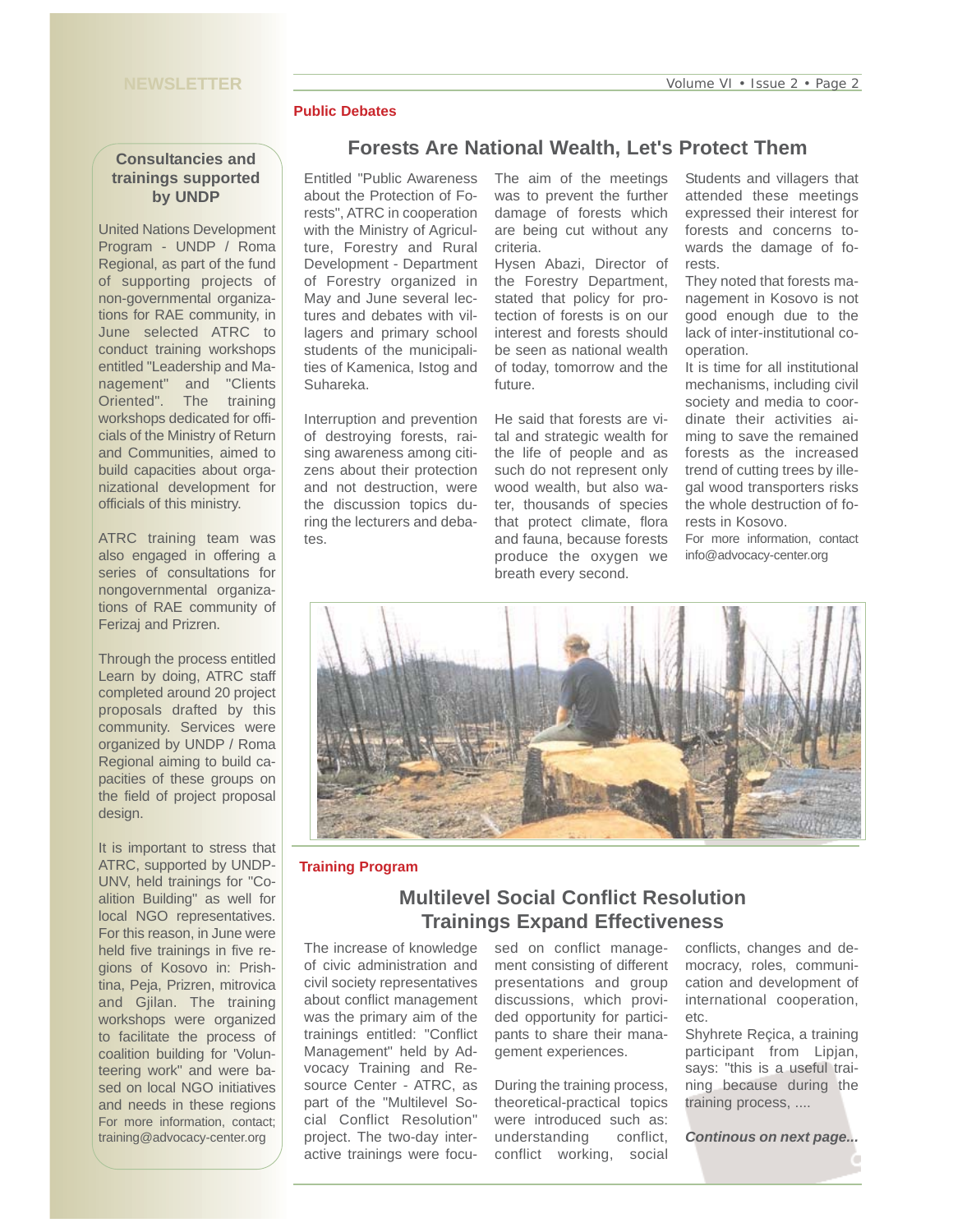#### **Public Debates**

#### **Consultancies and trainings supported by UNDP**

United Nations Development Program - UNDP / Roma Regional, as part of the fund of supporting projects of non-governmental organizations for RAE community, in June selected ATRC to conduct training workshops entitled "Leadership and Management" and "Clients Oriented". The training workshops dedicated for officials of the Ministry of Return and Communities, aimed to build capacities about organizational development for officials of this ministry.

ATRC training team was also engaged in offering a series of consultations for nongovernmental organizations of RAE community of Ferizaj and Prizren.

Through the process entitled Learn by doing, ATRC staff completed around 20 project proposals drafted by this community. Services were organized by UNDP / Roma Regional aiming to build capacities of these groups on the field of project proposal design.

It is important to stress that ATRC, supported by UNDP-UNV, held trainings for "Coalition Building" as well for local NGO representatives. For this reason, in June were held five trainings in five regions of Kosovo in: Prishtina, Peja, Prizren, mitrovica and Gjilan. The training workshops were organized to facilitate the process of coalition building for 'Volunteering work" and were based on local NGO initiatives and needs in these regions For more information, contact; training@advocacy-center.org

Entitled "Public Awareness about the Protection of Forests", ATRC in cooperation with the Ministry of Agriculture, Forestry and Rural Development - Department of Forestry organized in May and June several lectures and debates with villagers and primary school students of the municipalities of Kamenica, Istog and Suhareka.

Interruption and prevention of destroying forests, raising awareness among citizens about their protection and not destruction, were the discussion topics during the lecturers and debates.

The aim of the meetings was to prevent the further damage of forests which are being cut without any criteria.

**Forests Are National Wealth, Let's Protect Them** 

Hysen Abazi, Director of the Forestry Department, stated that policy for protection of forests is on our interest and forests should be seen as national wealth of today, tomorrow and the future.

He said that forests are vital and strategic wealth for the life of people and as such do not represent only wood wealth, but also water, thousands of species that protect climate, flora and fauna, because forests produce the oxygen we breath every second.

Students and villagers that attended these meetings expressed their interest for forests and concerns towards the damage of forests.

They noted that forests management in Kosovo is not good enough due to the lack of inter-institutional cooperation.

It is time for all institutional mechanisms, including civil society and media to coordinate their activities aiming to save the remained forests as the increased trend of cutting trees by illegal wood transporters risks the whole destruction of forests in Kosovo.

For more information, contact info@advocacy-center.org



#### **Training Program**

## **Multilevel Social Conflict Resolution Trainings Expand Effectiveness**

The increase of knowledge of civic administration and civil society representatives about conflict management was the primary aim of the trainings entitled: "Conflict Management" held by Advocacy Training and Resource Center - ATRC, as part of the "Multilevel Social Conflict Resolution" project. The two-day interactive trainings were focused on conflict management consisting of different presentations and group discussions, which provided opportunity for participants to share their management experiences.

During the training process, theoretical-practical topics were introduced such as: understanding conflict, conflict working, social

conflicts, changes and democracy, roles, communication and development of international cooperation, etc.

Shyhrete Reçica, a training participant from Lipjan, says: "this is a useful training because during the training process, ....

*Continous on next page...*